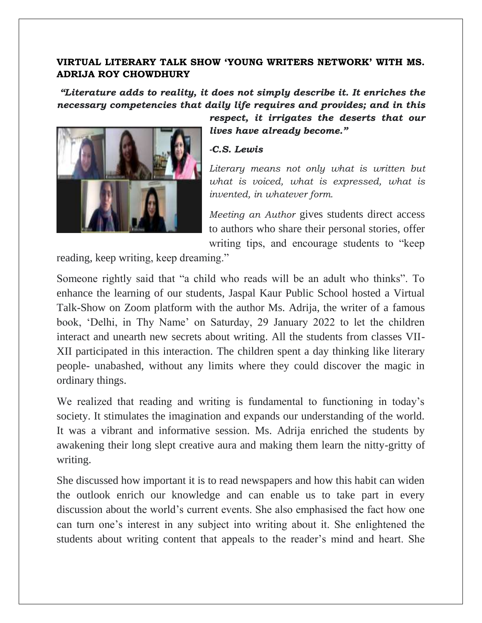### **VIRTUAL LITERARY TALK SHOW 'YOUNG WRITERS NETWORK' WITH MS. ADRIJA ROY CHOWDHURY**

*"Literature adds to reality, it does not simply describe it. It enriches the necessary competencies that daily life requires and provides; and in this* 



## *respect, it irrigates the deserts that our lives have already become."*

#### *-C.S. Lewis*

*Literary means not only what is written but what is voiced, what is expressed, what is invented, in whatever form.* 

*Meeting an Author* gives students direct access to authors who share their personal stories, offer writing tips, and encourage students to "keep

reading, keep writing, keep dreaming."

Someone rightly said that "a child who reads will be an adult who thinks". To enhance the learning of our students, Jaspal Kaur Public School hosted a Virtual Talk-Show on Zoom platform with the author Ms. Adrija, the writer of a famous book, 'Delhi, in Thy Name' on Saturday, 29 January 2022 to let the children interact and unearth new secrets about writing. All the students from classes VII-XII participated in this interaction. The children spent a day thinking like literary people- unabashed, without any limits where they could discover the magic in ordinary things.

We realized that reading and writing is fundamental to functioning in today's society. It stimulates the imagination and expands our understanding of the world. It was a vibrant and informative session. Ms. Adrija enriched the students by awakening their long slept creative aura and making them learn the nitty-gritty of writing.

She discussed how important it is to read newspapers and how this habit can widen the outlook enrich our knowledge and can enable us to take part in every discussion about the world's current events. She also emphasised the fact how one can turn one's interest in any subject into writing about it. She enlightened the students about writing content that appeals to the reader's mind and heart. She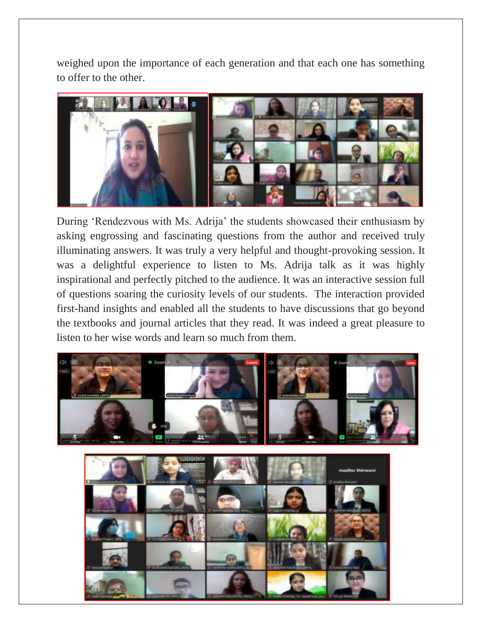weighed upon the importance of each generation and that each one has something to offer to the other.



During 'Rendezvous with Ms. Adrija' the students showcased their enthusiasm by asking engrossing and fascinating questions from the author and received truly illuminating answers. It was truly a very helpful and thought-provoking session. It was a delightful experience to listen to Ms. Adrija talk as it was highly inspirational and perfectly pitched to the audience. It was an interactive session full of questions soaring the curiosity levels of our students. The interaction provided first-hand insights and enabled all the students to have discussions that go beyond the textbooks and journal articles that they read. It was indeed a great pleasure to listen to her wise words and learn so much from them.